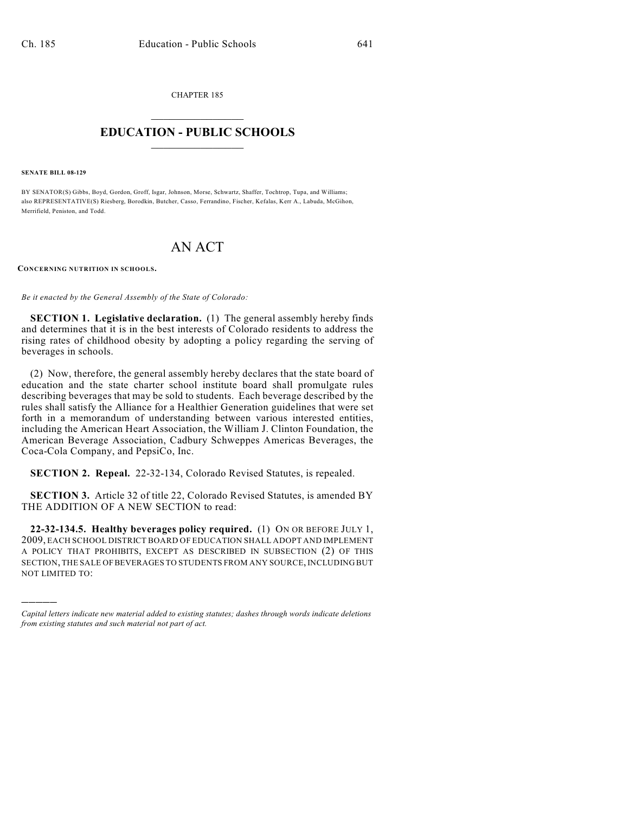CHAPTER 185  $\overline{\phantom{a}}$  . The set of the set of the set of the set of the set of the set of the set of the set of the set of the set of the set of the set of the set of the set of the set of the set of the set of the set of the set o

## **EDUCATION - PUBLIC SCHOOLS**  $\_$   $\_$   $\_$   $\_$   $\_$   $\_$   $\_$   $\_$   $\_$

**SENATE BILL 08-129**

)))))

BY SENATOR(S) Gibbs, Boyd, Gordon, Groff, Isgar, Johnson, Morse, Schwartz, Shaffer, Tochtrop, Tupa, and Williams; also REPRESENTATIVE(S) Riesberg, Borodkin, Butcher, Casso, Ferrandino, Fischer, Kefalas, Kerr A., Labuda, McGihon, Merrifield, Peniston, and Todd.

## AN ACT

**CONCERNING NUTRITION IN SCHOOLS.**

*Be it enacted by the General Assembly of the State of Colorado:*

**SECTION 1. Legislative declaration.** (1) The general assembly hereby finds and determines that it is in the best interests of Colorado residents to address the rising rates of childhood obesity by adopting a policy regarding the serving of beverages in schools.

(2) Now, therefore, the general assembly hereby declares that the state board of education and the state charter school institute board shall promulgate rules describing beverages that may be sold to students. Each beverage described by the rules shall satisfy the Alliance for a Healthier Generation guidelines that were set forth in a memorandum of understanding between various interested entities, including the American Heart Association, the William J. Clinton Foundation, the American Beverage Association, Cadbury Schweppes Americas Beverages, the Coca-Cola Company, and PepsiCo, Inc.

**SECTION 2. Repeal.** 22-32-134, Colorado Revised Statutes, is repealed.

**SECTION 3.** Article 32 of title 22, Colorado Revised Statutes, is amended BY THE ADDITION OF A NEW SECTION to read:

**22-32-134.5. Healthy beverages policy required.** (1) ON OR BEFORE JULY 1, 2009, EACH SCHOOL DISTRICT BOARD OF EDUCATION SHALL ADOPT AND IMPLEMENT A POLICY THAT PROHIBITS, EXCEPT AS DESCRIBED IN SUBSECTION (2) OF THIS SECTION, THE SALE OF BEVERAGES TO STUDENTS FROM ANY SOURCE, INCLUDING BUT NOT LIMITED TO:

*Capital letters indicate new material added to existing statutes; dashes through words indicate deletions from existing statutes and such material not part of act.*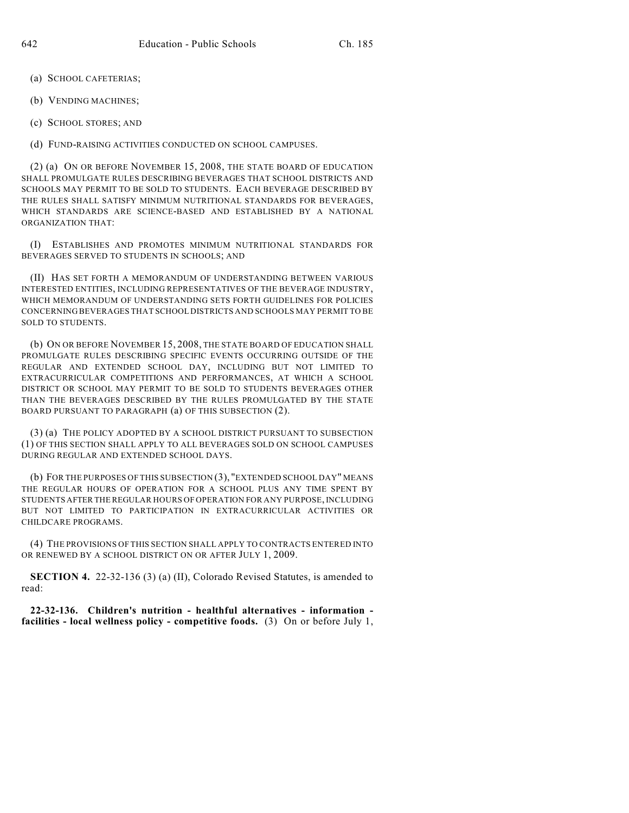- (a) SCHOOL CAFETERIAS;
- (b) VENDING MACHINES;
- (c) SCHOOL STORES; AND

(d) FUND-RAISING ACTIVITIES CONDUCTED ON SCHOOL CAMPUSES.

(2) (a) ON OR BEFORE NOVEMBER 15, 2008, THE STATE BOARD OF EDUCATION SHALL PROMULGATE RULES DESCRIBING BEVERAGES THAT SCHOOL DISTRICTS AND SCHOOLS MAY PERMIT TO BE SOLD TO STUDENTS. EACH BEVERAGE DESCRIBED BY THE RULES SHALL SATISFY MINIMUM NUTRITIONAL STANDARDS FOR BEVERAGES, WHICH STANDARDS ARE SCIENCE-BASED AND ESTABLISHED BY A NATIONAL ORGANIZATION THAT:

(I) ESTABLISHES AND PROMOTES MINIMUM NUTRITIONAL STANDARDS FOR BEVERAGES SERVED TO STUDENTS IN SCHOOLS; AND

(II) HAS SET FORTH A MEMORANDUM OF UNDERSTANDING BETWEEN VARIOUS INTERESTED ENTITIES, INCLUDING REPRESENTATIVES OF THE BEVERAGE INDUSTRY, WHICH MEMORANDUM OF UNDERSTANDING SETS FORTH GUIDELINES FOR POLICIES CONCERNING BEVERAGES THAT SCHOOL DISTRICTS AND SCHOOLS MAY PERMIT TO BE SOLD TO STUDENTS.

(b) ON OR BEFORE NOVEMBER 15, 2008, THE STATE BOARD OF EDUCATION SHALL PROMULGATE RULES DESCRIBING SPECIFIC EVENTS OCCURRING OUTSIDE OF THE REGULAR AND EXTENDED SCHOOL DAY, INCLUDING BUT NOT LIMITED TO EXTRACURRICULAR COMPETITIONS AND PERFORMANCES, AT WHICH A SCHOOL DISTRICT OR SCHOOL MAY PERMIT TO BE SOLD TO STUDENTS BEVERAGES OTHER THAN THE BEVERAGES DESCRIBED BY THE RULES PROMULGATED BY THE STATE BOARD PURSUANT TO PARAGRAPH (a) OF THIS SUBSECTION (2).

(3) (a) THE POLICY ADOPTED BY A SCHOOL DISTRICT PURSUANT TO SUBSECTION (1) OF THIS SECTION SHALL APPLY TO ALL BEVERAGES SOLD ON SCHOOL CAMPUSES DURING REGULAR AND EXTENDED SCHOOL DAYS.

(b) FOR THE PURPOSES OF THIS SUBSECTION (3), "EXTENDED SCHOOL DAY" MEANS THE REGULAR HOURS OF OPERATION FOR A SCHOOL PLUS ANY TIME SPENT BY STUDENTS AFTER THE REGULAR HOURS OF OPERATION FOR ANY PURPOSE, INCLUDING BUT NOT LIMITED TO PARTICIPATION IN EXTRACURRICULAR ACTIVITIES OR CHILDCARE PROGRAMS.

(4) THE PROVISIONS OF THIS SECTION SHALL APPLY TO CONTRACTS ENTERED INTO OR RENEWED BY A SCHOOL DISTRICT ON OR AFTER JULY 1, 2009.

**SECTION 4.** 22-32-136 (3) (a) (II), Colorado Revised Statutes, is amended to read:

**22-32-136. Children's nutrition - healthful alternatives - information facilities - local wellness policy - competitive foods.** (3) On or before July 1,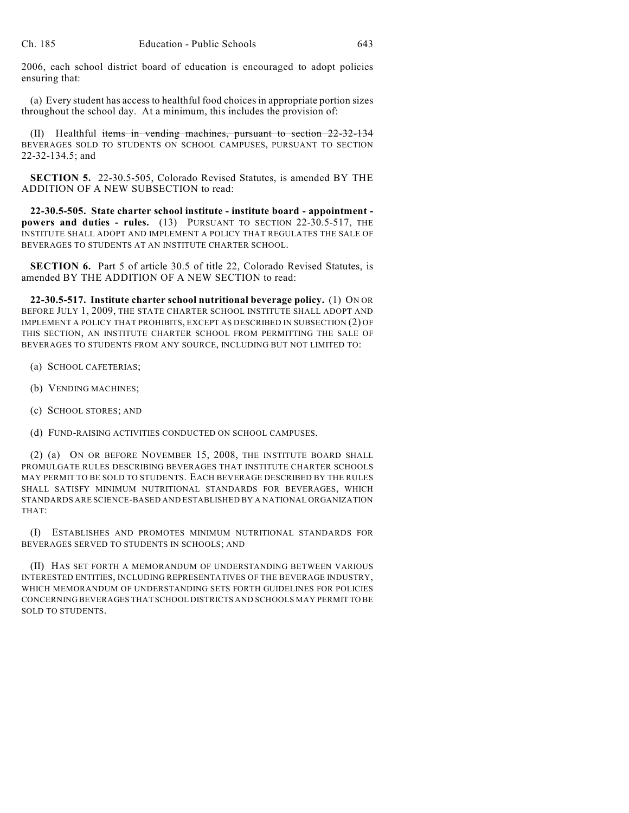2006, each school district board of education is encouraged to adopt policies ensuring that:

(a) Every student has access to healthful food choices in appropriate portion sizes throughout the school day. At a minimum, this includes the provision of:

(II) Healthful items in vending machines, pursuant to section 22-32-134 BEVERAGES SOLD TO STUDENTS ON SCHOOL CAMPUSES, PURSUANT TO SECTION 22-32-134.5; and

**SECTION 5.** 22-30.5-505, Colorado Revised Statutes, is amended BY THE ADDITION OF A NEW SUBSECTION to read:

**22-30.5-505. State charter school institute - institute board - appointment powers and duties - rules.** (13) PURSUANT TO SECTION 22-30.5-517, THE INSTITUTE SHALL ADOPT AND IMPLEMENT A POLICY THAT REGULATES THE SALE OF BEVERAGES TO STUDENTS AT AN INSTITUTE CHARTER SCHOOL.

**SECTION 6.** Part 5 of article 30.5 of title 22, Colorado Revised Statutes, is amended BY THE ADDITION OF A NEW SECTION to read:

**22-30.5-517. Institute charter school nutritional beverage policy.** (1) ON OR BEFORE JULY 1, 2009, THE STATE CHARTER SCHOOL INSTITUTE SHALL ADOPT AND IMPLEMENT A POLICY THAT PROHIBITS, EXCEPT AS DESCRIBED IN SUBSECTION (2) OF THIS SECTION, AN INSTITUTE CHARTER SCHOOL FROM PERMITTING THE SALE OF BEVERAGES TO STUDENTS FROM ANY SOURCE, INCLUDING BUT NOT LIMITED TO:

- (a) SCHOOL CAFETERIAS;
- (b) VENDING MACHINES;
- (c) SCHOOL STORES; AND
- (d) FUND-RAISING ACTIVITIES CONDUCTED ON SCHOOL CAMPUSES.

(2) (a) ON OR BEFORE NOVEMBER 15, 2008, THE INSTITUTE BOARD SHALL PROMULGATE RULES DESCRIBING BEVERAGES THAT INSTITUTE CHARTER SCHOOLS MAY PERMIT TO BE SOLD TO STUDENTS. EACH BEVERAGE DESCRIBED BY THE RULES SHALL SATISFY MINIMUM NUTRITIONAL STANDARDS FOR BEVERAGES, WHICH STANDARDS ARE SCIENCE-BASED AND ESTABLISHED BY A NATIONAL ORGANIZATION THAT:

(I) ESTABLISHES AND PROMOTES MINIMUM NUTRITIONAL STANDARDS FOR BEVERAGES SERVED TO STUDENTS IN SCHOOLS; AND

(II) HAS SET FORTH A MEMORANDUM OF UNDERSTANDING BETWEEN VARIOUS INTERESTED ENTITIES, INCLUDING REPRESENTATIVES OF THE BEVERAGE INDUSTRY, WHICH MEMORANDUM OF UNDERSTANDING SETS FORTH GUIDELINES FOR POLICIES CONCERNING BEVERAGES THAT SCHOOL DISTRICTS AND SCHOOLS MAY PERMIT TO BE SOLD TO STUDENTS.